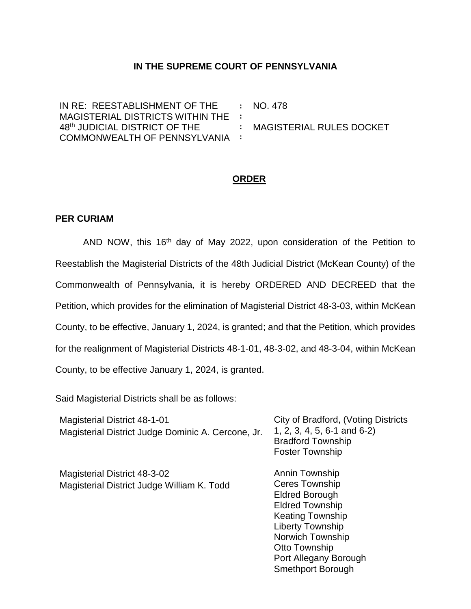## **IN THE SUPREME COURT OF PENNSYLVANIA**

IN RE: REESTABLISHMENT OF THE MAGISTERIAL DISTRICTS WITHIN THE 48th JUDICIAL DISTRICT OF THE COMMONWEALTH OF PENNSYLVANIA **: : : :** NO. 478 MAGISTERIAL RULES DOCKET

## **ORDER**

## **PER CURIAM**

AND NOW, this 16<sup>th</sup> day of May 2022, upon consideration of the Petition to Reestablish the Magisterial Districts of the 48th Judicial District (McKean County) of the Commonwealth of Pennsylvania, it is hereby ORDERED AND DECREED that the Petition, which provides for the elimination of Magisterial District 48-3-03, within McKean County, to be effective, January 1, 2024, is granted; and that the Petition, which provides for the realignment of Magisterial Districts 48-1-01, 48-3-02, and 48-3-04, within McKean County, to be effective January 1, 2024, is granted.

Said Magisterial Districts shall be as follows:

| <b>Magisterial District 48-1-01</b><br>Magisterial District Judge Dominic A. Cercone, Jr. | City of Bradford, (Voting Districts<br>1, 2, 3, 4, 5, 6-1 and 6-2)<br><b>Bradford Township</b><br><b>Foster Township</b>                                             |
|-------------------------------------------------------------------------------------------|----------------------------------------------------------------------------------------------------------------------------------------------------------------------|
| Magisterial District 48-3-02<br>Magisterial District Judge William K. Todd                | Annin Township<br><b>Ceres Township</b><br><b>Eldred Borough</b><br><b>Eldred Township</b><br><b>Keating Township</b><br><b>Liberty Township</b><br>Norwich Township |
|                                                                                           | Otto Township<br>Port Allegany Borough<br><b>Smethport Borough</b>                                                                                                   |